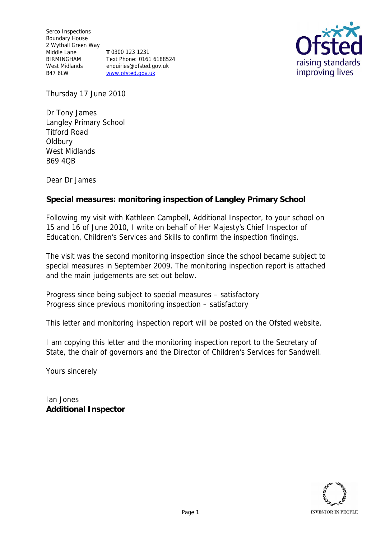Serco Inspections Boundary House 2 Wythall Green Way Middle Lane BIRMINGHAM West Midlands B47 6LW **T** 0300 123 1231 Text Phone: 0161 6188524 enquiries@ofsted.gov.uk www.ofsted.gov.uk



Thursday 17 June 2010

Dr Tony James Langley Primary School Titford Road Oldbury West Midlands B69 4QB

Dear Dr James

**Special measures: monitoring inspection of Langley Primary School**

Following my visit with Kathleen Campbell, Additional Inspector, to your school on 15 and 16 of June 2010, I write on behalf of Her Majesty's Chief Inspector of Education, Children's Services and Skills to confirm the inspection findings.

The visit was the second monitoring inspection since the school became subject to special measures in September 2009. The monitoring inspection report is attached and the main judgements are set out below.

Progress since being subject to special measures *–* satisfactory Progress since previous monitoring inspection – satisfactory

This letter and monitoring inspection report will be posted on the Ofsted website.

I am copying this letter and the monitoring inspection report to the Secretary of State, the chair of governors and the Director of Children's Services for Sandwell.

Yours sincerely

Ian Jones **Additional Inspector**

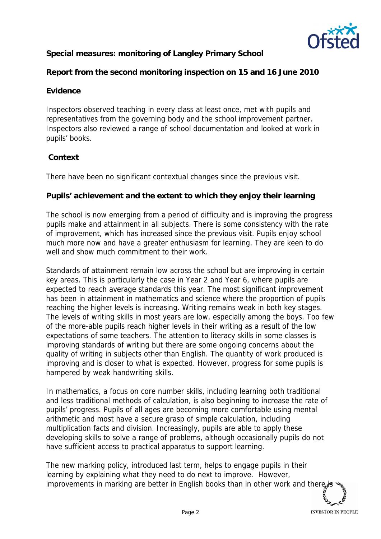

**Special measures: monitoring of Langley Primary School**

**Report from the second monitoring inspection on 15 and 16 June 2010**

## **Evidence**

Inspectors observed teaching in every class at least once, met with pupils and representatives from the governing body and the school improvement partner. Inspectors also reviewed a range of school documentation and looked at work in pupils' books.

## **Context**

There have been no significant contextual changes since the previous visit.

**Pupils' achievement and the extent to which they enjoy their learning**

The school is now emerging from a period of difficulty and is improving the progress pupils make and attainment in all subjects. There is some consistency with the rate of improvement, which has increased since the previous visit. Pupils enjoy school much more now and have a greater enthusiasm for learning. They are keen to do well and show much commitment to their work.

Standards of attainment remain low across the school but are improving in certain key areas. This is particularly the case in Year 2 and Year 6, where pupils are expected to reach average standards this year. The most significant improvement has been in attainment in mathematics and science where the proportion of pupils reaching the higher levels is increasing. Writing remains weak in both key stages. The levels of writing skills in most years are low, especially among the boys. Too few of the more-able pupils reach higher levels in their writing as a result of the low expectations of some teachers. The attention to literacy skills in some classes is improving standards of writing but there are some ongoing concerns about the quality of writing in subjects other than English. The quantity of work produced is improving and is closer to what is expected. However, progress for some pupils is hampered by weak handwriting skills.

In mathematics, a focus on core number skills, including learning both traditional and less traditional methods of calculation, is also beginning to increase the rate of pupils' progress. Pupils of all ages are becoming more comfortable using mental arithmetic and most have a secure grasp of simple calculation, including multiplication facts and division. Increasingly, pupils are able to apply these developing skills to solve a range of problems, although occasionally pupils do not have sufficient access to practical apparatus to support learning.

The new marking policy, introduced last term, helps to engage pupils in their learning by explaining what they need to do next to improve. However, improvements in marking are better in English books than in other work and there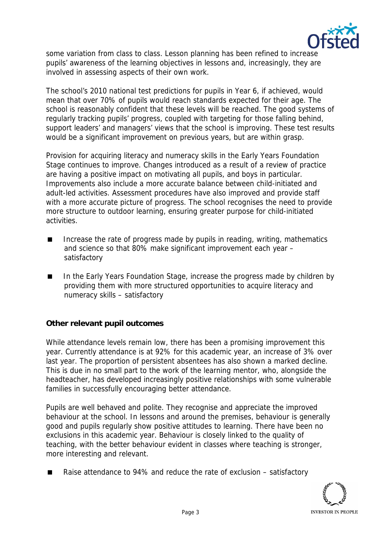

some variation from class to class. Lesson planning has been refined to increase pupils' awareness of the learning objectives in lessons and, increasingly, they are involved in assessing aspects of their own work.

The school's 2010 national test predictions for pupils in Year 6, if achieved, would mean that over 70% of pupils would reach standards expected for their age. The school is reasonably confident that these levels will be reached. The good systems of regularly tracking pupils' progress, coupled with targeting for those falling behind, support leaders' and managers' views that the school is improving. These test results would be a significant improvement on previous years, but are within grasp.

Provision for acquiring literacy and numeracy skills in the Early Years Foundation Stage continues to improve. Changes introduced as a result of a review of practice are having a positive impact on motivating all pupils, and boys in particular. Improvements also include a more accurate balance between child-initiated and adult-led activities. Assessment procedures have also improved and provide staff with a more accurate picture of progress. The school recognises the need to provide more structure to outdoor learning, ensuring greater purpose for child-initiated activities.

- Increase the rate of progress made by pupils in reading, writing, mathematics and science so that 80% make significant improvement each year – satisfactory
- In the Early Years Foundation Stage, increase the progress made by children by providing them with more structured opportunities to acquire literacy and numeracy skills – satisfactory

**Other relevant pupil outcomes**

While attendance levels remain low, there has been a promising improvement this year. Currently attendance is at 92% for this academic year, an increase of 3% over last year. The proportion of persistent absentees has also shown a marked decline. This is due in no small part to the work of the learning mentor, who, alongside the headteacher, has developed increasingly positive relationships with some vulnerable families in successfully encouraging better attendance.

Pupils are well behaved and polite. They recognise and appreciate the improved behaviour at the school. In lessons and around the premises, behaviour is generally good and pupils regularly show positive attitudes to learning. There have been no exclusions in this academic year. Behaviour is closely linked to the quality of teaching, with the better behaviour evident in classes where teaching is stronger, more interesting and relevant.

Raise attendance to 94% and reduce the rate of exclusion – satisfactory

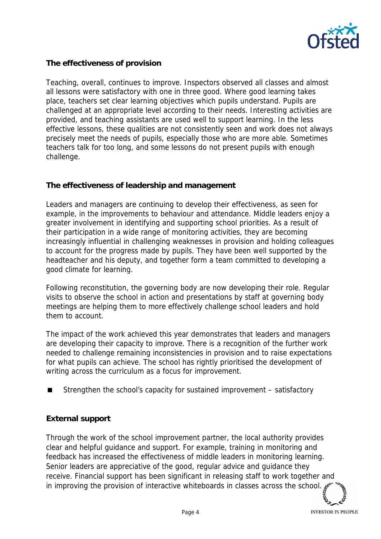

**The effectiveness of provision**

Teaching, overall, continues to improve. Inspectors observed all classes and almost all lessons were satisfactory with one in three good. Where good learning takes place, teachers set clear learning objectives which pupils understand. Pupils are challenged at an appropriate level according to their needs. Interesting activities are provided, and teaching assistants are used well to support learning. In the less effective lessons, these qualities are not consistently seen and work does not always precisely meet the needs of pupils, especially those who are more able. Sometimes teachers talk for too long, and some lessons do not present pupils with enough challenge.

## **The effectiveness of leadership and management**

Leaders and managers are continuing to develop their effectiveness, as seen for example, in the improvements to behaviour and attendance. Middle leaders enjoy a greater involvement in identifying and supporting school priorities. As a result of their participation in a wide range of monitoring activities, they are becoming increasingly influential in challenging weaknesses in provision and holding colleagues to account for the progress made by pupils. They have been well supported by the headteacher and his deputy, and together form a team committed to developing a good climate for learning.

Following reconstitution, the governing body are now developing their role. Regular visits to observe the school in action and presentations by staff at governing body meetings are helping them to more effectively challenge school leaders and hold them to account.

The impact of the work achieved this year demonstrates that leaders and managers are developing their capacity to improve. There is a recognition of the further work needed to challenge remaining inconsistencies in provision and to raise expectations for what pupils can achieve. The school has rightly prioritised the development of writing across the curriculum as a focus for improvement.

Strengthen the school's capacity for sustained improvement – satisfactory

## **External support**

Through the work of the school improvement partner, the local authority provides clear and helpful guidance and support. For example, training in monitoring and feedback has increased the effectiveness of middle leaders in monitoring learning. Senior leaders are appreciative of the good, regular advice and guidance they receive. Financial support has been significant in releasing staff to work together and in improving the provision of interactive whiteboards in classes across the school.